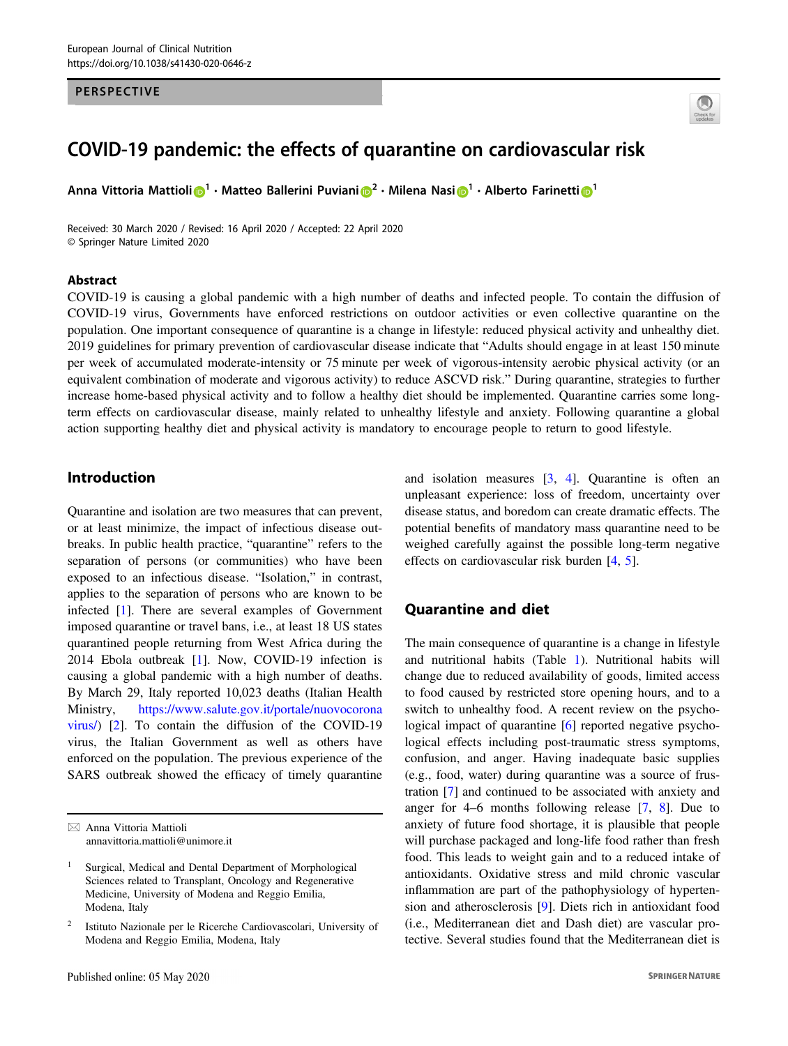#### PERSPECTIVE



# COVID-19 pandemic: the effects of quarantine on cardiovascular risk

Anna V[i](http://orcid.org/0000-0003-2133-3595)ttoria Mattioli D $^1\cdot$  $^1\cdot$  $^1\cdot$  Matteo Ballerini Puviani D $^2\cdot$  $^2\cdot$  $^2\cdot$  Milena Nasi D $^1\cdot$  Alberto Farinetti D $^1$ 

Received: 30 March 2020 / Revised: 16 April 2020 / Accepted: 22 April 2020 © Springer Nature Limited 2020

#### Abstract

COVID-19 is causing a global pandemic with a high number of deaths and infected people. To contain the diffusion of COVID-19 virus, Governments have enforced restrictions on outdoor activities or even collective quarantine on the population. One important consequence of quarantine is a change in lifestyle: reduced physical activity and unhealthy diet. 2019 guidelines for primary prevention of cardiovascular disease indicate that "Adults should engage in at least 150 minute per week of accumulated moderate-intensity or 75 minute per week of vigorous-intensity aerobic physical activity (or an equivalent combination of moderate and vigorous activity) to reduce ASCVD risk." During quarantine, strategies to further increase home-based physical activity and to follow a healthy diet should be implemented. Quarantine carries some longterm effects on cardiovascular disease, mainly related to unhealthy lifestyle and anxiety. Following quarantine a global action supporting healthy diet and physical activity is mandatory to encourage people to return to good lifestyle.

## Introduction

Quarantine and isolation are two measures that can prevent, or at least minimize, the impact of infectious disease outbreaks. In public health practice, "quarantine" refers to the separation of persons (or communities) who have been exposed to an infectious disease. "Isolation," in contrast, applies to the separation of persons who are known to be infected [[1\]](#page-2-0). There are several examples of Government imposed quarantine or travel bans, i.e., at least 18 US states quarantined people returning from West Africa during the 2014 Ebola outbreak [\[1](#page-2-0)]. Now, COVID-19 infection is causing a global pandemic with a high number of deaths. By March 29, Italy reported 10,023 deaths (Italian Health Ministry, [https://www.salute.gov.it/portale/nuovocorona](https://www.salute.gov.it/portale/nuovocoronavirus/) [virus/](https://www.salute.gov.it/portale/nuovocoronavirus/)) [[2\]](#page-2-0). To contain the diffusion of the COVID-19 virus, the Italian Government as well as others have enforced on the population. The previous experience of the SARS outbreak showed the efficacy of timely quarantine

and isolation measures [[3,](#page-3-0) [4\]](#page-3-0). Quarantine is often an unpleasant experience: loss of freedom, uncertainty over disease status, and boredom can create dramatic effects. The potential benefits of mandatory mass quarantine need to be weighed carefully against the possible long-term negative effects on cardiovascular risk burden [[4,](#page-3-0) [5\]](#page-3-0).

#### Quarantine and diet

The main consequence of quarantine is a change in lifestyle and nutritional habits (Table [1](#page-1-0)). Nutritional habits will change due to reduced availability of goods, limited access to food caused by restricted store opening hours, and to a switch to unhealthy food. A recent review on the psycho-logical impact of quarantine [\[6](#page-3-0)] reported negative psychological effects including post-traumatic stress symptoms, confusion, and anger. Having inadequate basic supplies (e.g., food, water) during quarantine was a source of frustration [\[7](#page-3-0)] and continued to be associated with anxiety and anger for 4–6 months following release [\[7](#page-3-0), [8](#page-3-0)]. Due to anxiety of future food shortage, it is plausible that people will purchase packaged and long-life food rather than fresh food. This leads to weight gain and to a reduced intake of antioxidants. Oxidative stress and mild chronic vascular inflammation are part of the pathophysiology of hypertension and atherosclerosis [\[9](#page-3-0)]. Diets rich in antioxidant food (i.e., Mediterranean diet and Dash diet) are vascular protective. Several studies found that the Mediterranean diet is

 $\boxtimes$  Anna Vittoria Mattioli [annavittoria.mattioli@unimore.it](mailto:annavittoria.mattioli@unimore.it)

Surgical, Medical and Dental Department of Morphological Sciences related to Transplant, Oncology and Regenerative Medicine, University of Modena and Reggio Emilia, Modena, Italy

<sup>2</sup> Istituto Nazionale per le Ricerche Cardiovascolari, University of Modena and Reggio Emilia, Modena, Italy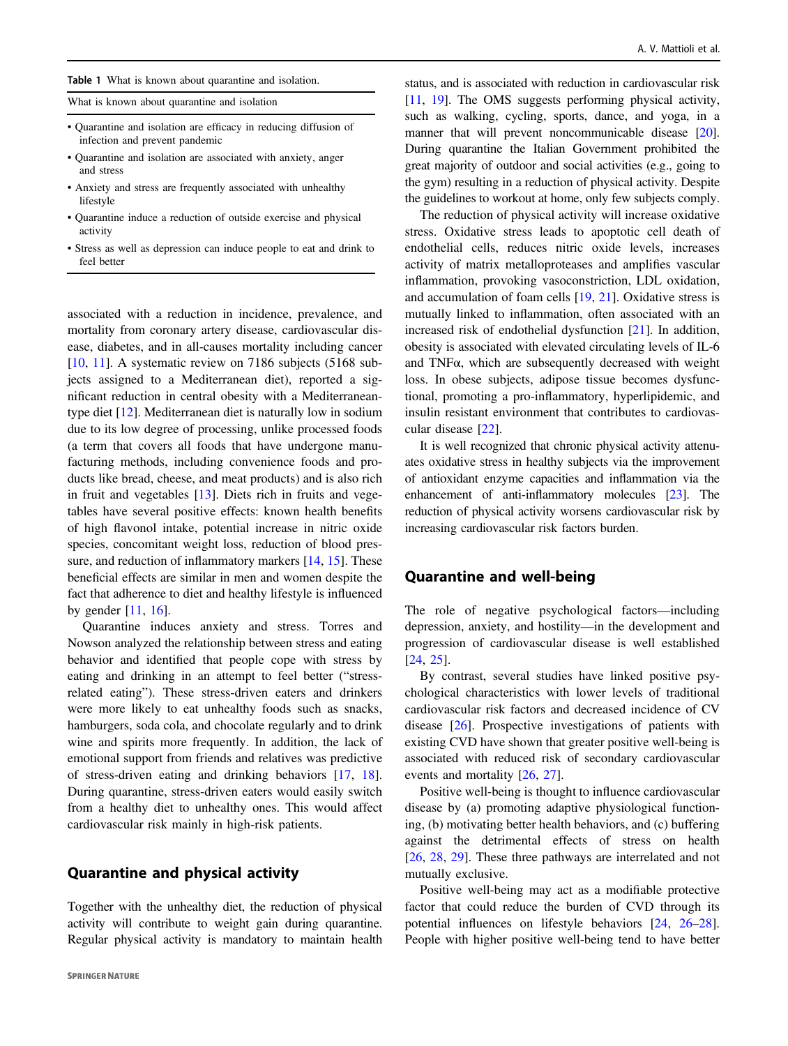<span id="page-1-0"></span>What is known about quarantine and isolation

- Quarantine and isolation are efficacy in reducing diffusion of infection and prevent pandemic
- Quarantine and isolation are associated with anxiety, anger and stress
- Anxiety and stress are frequently associated with unhealthy lifestyle
- Quarantine induce a reduction of outside exercise and physical activity
- Stress as well as depression can induce people to eat and drink to feel better

associated with a reduction in incidence, prevalence, and mortality from coronary artery disease, cardiovascular disease, diabetes, and in all-causes mortality including cancer [\[10](#page-3-0), [11\]](#page-3-0). A systematic review on 7186 subjects (5168 subjects assigned to a Mediterranean diet), reported a significant reduction in central obesity with a Mediterraneantype diet [[12\]](#page-3-0). Mediterranean diet is naturally low in sodium due to its low degree of processing, unlike processed foods (a term that covers all foods that have undergone manufacturing methods, including convenience foods and products like bread, cheese, and meat products) and is also rich in fruit and vegetables [[13\]](#page-3-0). Diets rich in fruits and vegetables have several positive effects: known health benefits of high flavonol intake, potential increase in nitric oxide species, concomitant weight loss, reduction of blood pres-sure, and reduction of inflammatory markers [\[14](#page-3-0), [15](#page-3-0)]. These beneficial effects are similar in men and women despite the fact that adherence to diet and healthy lifestyle is influenced by gender  $[11, 16]$  $[11, 16]$  $[11, 16]$  $[11, 16]$ .

Quarantine induces anxiety and stress. Torres and Nowson analyzed the relationship between stress and eating behavior and identified that people cope with stress by eating and drinking in an attempt to feel better ("stressrelated eating"). These stress-driven eaters and drinkers were more likely to eat unhealthy foods such as snacks, hamburgers, soda cola, and chocolate regularly and to drink wine and spirits more frequently. In addition, the lack of emotional support from friends and relatives was predictive of stress-driven eating and drinking behaviors [[17,](#page-3-0) [18](#page-3-0)]. During quarantine, stress-driven eaters would easily switch from a healthy diet to unhealthy ones. This would affect cardiovascular risk mainly in high-risk patients.

### Quarantine and physical activity

Together with the unhealthy diet, the reduction of physical activity will contribute to weight gain during quarantine. Regular physical activity is mandatory to maintain health status, and is associated with reduction in cardiovascular risk [\[11](#page-3-0), [19\]](#page-3-0). The OMS suggests performing physical activity, such as walking, cycling, sports, dance, and yoga, in a manner that will prevent noncommunicable disease [\[20\]](#page-3-0). During quarantine the Italian Government prohibited the great majority of outdoor and social activities (e.g., going to the gym) resulting in a reduction of physical activity. Despite the guidelines to workout at home, only few subjects comply.

The reduction of physical activity will increase oxidative stress. Oxidative stress leads to apoptotic cell death of endothelial cells, reduces nitric oxide levels, increases activity of matrix metalloproteases and amplifies vascular inflammation, provoking vasoconstriction, LDL oxidation, and accumulation of foam cells [\[19](#page-3-0), [21\]](#page-3-0). Oxidative stress is mutually linked to inflammation, often associated with an increased risk of endothelial dysfunction [\[21](#page-3-0)]. In addition, obesity is associated with elevated circulating levels of IL-6 and TNFα, which are subsequently decreased with weight loss. In obese subjects, adipose tissue becomes dysfunctional, promoting a pro-inflammatory, hyperlipidemic, and insulin resistant environment that contributes to cardiovascular disease [\[22](#page-3-0)].

It is well recognized that chronic physical activity attenuates oxidative stress in healthy subjects via the improvement of antioxidant enzyme capacities and inflammation via the enhancement of anti-inflammatory molecules [\[23\]](#page-3-0). The reduction of physical activity worsens cardiovascular risk by increasing cardiovascular risk factors burden.

#### Quarantine and well-being

The role of negative psychological factors—including depression, anxiety, and hostility—in the development and progression of cardiovascular disease is well established [\[24](#page-3-0), [25](#page-3-0)].

By contrast, several studies have linked positive psychological characteristics with lower levels of traditional cardiovascular risk factors and decreased incidence of CV disease [\[26](#page-3-0)]. Prospective investigations of patients with existing CVD have shown that greater positive well-being is associated with reduced risk of secondary cardiovascular events and mortality [\[26](#page-3-0), [27\]](#page-3-0).

Positive well-being is thought to influence cardiovascular disease by (a) promoting adaptive physiological functioning, (b) motivating better health behaviors, and (c) buffering against the detrimental effects of stress on health [\[26](#page-3-0), [28](#page-3-0), [29\]](#page-3-0). These three pathways are interrelated and not mutually exclusive.

Positive well-being may act as a modifiable protective factor that could reduce the burden of CVD through its potential influences on lifestyle behaviors [[24,](#page-3-0) [26](#page-3-0)–[28\]](#page-3-0). People with higher positive well-being tend to have better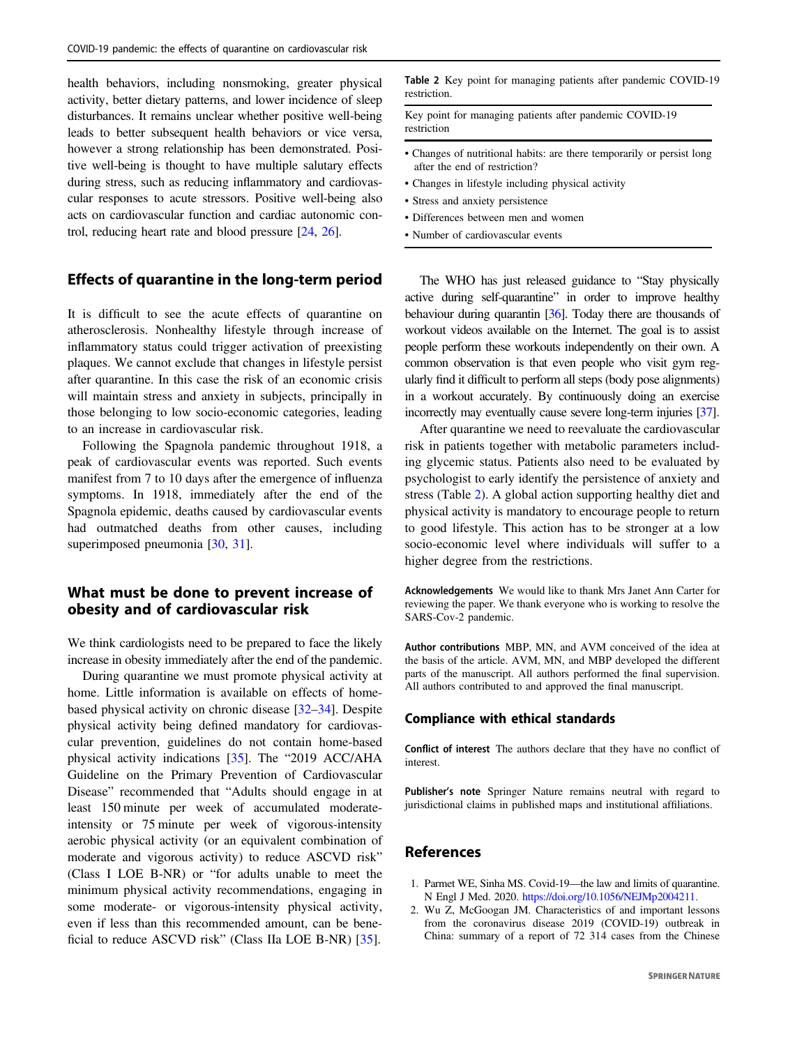<span id="page-2-0"></span>health behaviors, including nonsmoking, greater physical activity, better dietary patterns, and lower incidence of sleep disturbances. It remains unclear whether positive well-being leads to better subsequent health behaviors or vice versa, however a strong relationship has been demonstrated. Positive well-being is thought to have multiple salutary effects during stress, such as reducing inflammatory and cardiovascular responses to acute stressors. Positive well-being also acts on cardiovascular function and cardiac autonomic control, reducing heart rate and blood pressure [[24](#page-3-0), [26\]](#page-3-0).

## Effects of quarantine in the long-term period

It is difficult to see the acute effects of quarantine on atherosclerosis. Nonhealthy lifestyle through increase of inflammatory status could trigger activation of preexisting plaques. We cannot exclude that changes in lifestyle persist after quarantine. In this case the risk of an economic crisis will maintain stress and anxiety in subjects, principally in those belonging to low socio-economic categories, leading to an increase in cardiovascular risk.

Following the Spagnola pandemic throughout 1918, a peak of cardiovascular events was reported. Such events manifest from 7 to 10 days after the emergence of influenza symptoms. In 1918, immediately after the end of the Spagnola epidemic, deaths caused by cardiovascular events had outmatched deaths from other causes, including superimposed pneumonia [[30,](#page-3-0) [31\]](#page-3-0).

## What must be done to prevent increase of obesity and of cardiovascular risk

We think cardiologists need to be prepared to face the likely increase in obesity immediately after the end of the pandemic.

During quarantine we must promote physical activity at home. Little information is available on effects of homebased physical activity on chronic disease [\[32](#page-3-0)–[34](#page-3-0)]. Despite physical activity being defined mandatory for cardiovascular prevention, guidelines do not contain home-based physical activity indications [[35\]](#page-3-0). The "2019 ACC/AHA Guideline on the Primary Prevention of Cardiovascular Disease" recommended that "Adults should engage in at least 150 minute per week of accumulated moderateintensity or 75 minute per week of vigorous-intensity aerobic physical activity (or an equivalent combination of moderate and vigorous activity) to reduce ASCVD risk" (Class I LOE B-NR) or "for adults unable to meet the minimum physical activity recommendations, engaging in some moderate- or vigorous-intensity physical activity, even if less than this recommended amount, can be beneficial to reduce ASCVD risk" (Class IIa LOE B-NR) [\[35](#page-3-0)].

Table 2 Key point for managing patients after pandemic COVID-19 restriction.

Key point for managing patients after pandemic COVID-19 restriction

- Changes of nutritional habits: are there temporarily or persist long after the end of restriction?
- Changes in lifestyle including physical activity
- Stress and anxiety persistence
- Differences between men and women
- Number of cardiovascular events

The WHO has just released guidance to "Stay physically active during self-quarantine" in order to improve healthy behaviour during quarantin [\[36](#page-3-0)]. Today there are thousands of workout videos available on the Internet. The goal is to assist people perform these workouts independently on their own. A common observation is that even people who visit gym regularly find it difficult to perform all steps (body pose alignments) in a workout accurately. By continuously doing an exercise incorrectly may eventually cause severe long-term injuries [\[37\]](#page-3-0).

After quarantine we need to reevaluate the cardiovascular risk in patients together with metabolic parameters including glycemic status. Patients also need to be evaluated by psychologist to early identify the persistence of anxiety and stress (Table 2). A global action supporting healthy diet and physical activity is mandatory to encourage people to return to good lifestyle. This action has to be stronger at a low socio-economic level where individuals will suffer to a higher degree from the restrictions.

Acknowledgements We would like to thank Mrs Janet Ann Carter for reviewing the paper. We thank everyone who is working to resolve the SARS-Cov-2 pandemic.

Author contributions MBP, MN, and AVM conceived of the idea at the basis of the article. AVM, MN, and MBP developed the different parts of the manuscript. All authors performed the final supervision. All authors contributed to and approved the final manuscript.

#### Compliance with ethical standards

Conflict of interest The authors declare that they have no conflict of interest.

Publisher's note Springer Nature remains neutral with regard to jurisdictional claims in published maps and institutional affiliations.

## **References**

- 1. Parmet WE, Sinha MS. Covid-19—the law and limits of quarantine. N Engl J Med. 2020. <https://doi.org/10.1056/NEJMp2004211.>
- 2. Wu Z, McGoogan JM. Characteristics of and important lessons from the coronavirus disease 2019 (COVID-19) outbreak in China: summary of a report of 72 314 cases from the Chinese